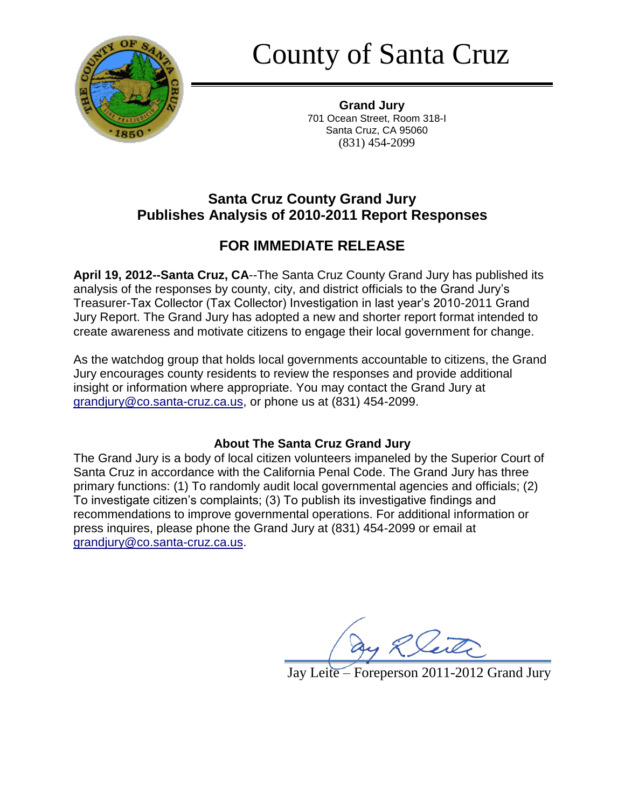

County of Santa Cruz

**Grand Jury** 701 Ocean Street, Room 318-I Santa Cruz, CA 95060 (831) 454-2099

## **Santa Cruz County Grand Jury Publishes Analysis of 2010-2011 Report Responses**

# **FOR IMMEDIATE RELEASE**

**April 19, 2012--Santa Cruz, CA**--The Santa Cruz County Grand Jury has published its analysis of the responses by county, city, and district officials to the Grand Jury's Treasurer-Tax Collector (Tax Collector) Investigation in last year's 2010-2011 Grand Jury Report. The Grand Jury has adopted a new and shorter report format intended to create awareness and motivate citizens to engage their local government for change.

As the watchdog group that holds local governments accountable to citizens, the Grand Jury encourages county residents to review the responses and provide additional insight or information where appropriate. You may contact the Grand Jury at grandjury@co.santa-cruz.ca.us, or phone us at (831) 454-2099.

## **About The Santa Cruz Grand Jury**

The Grand Jury is a body of local citizen volunteers impaneled by the Superior Court of Santa Cruz in accordance with the California Penal Code. The Grand Jury has three primary functions: (1) To randomly audit local governmental agencies and officials; (2) To investigate citizen's complaints; (3) To publish its investigative findings and recommendations to improve governmental operations. For additional information or press inquires, please phone the Grand Jury at (831) 454-2099 or email at grandjury@co.santa-cruz.ca.us.

Jay Leite – Foreperson 2011-2012 Grand Jury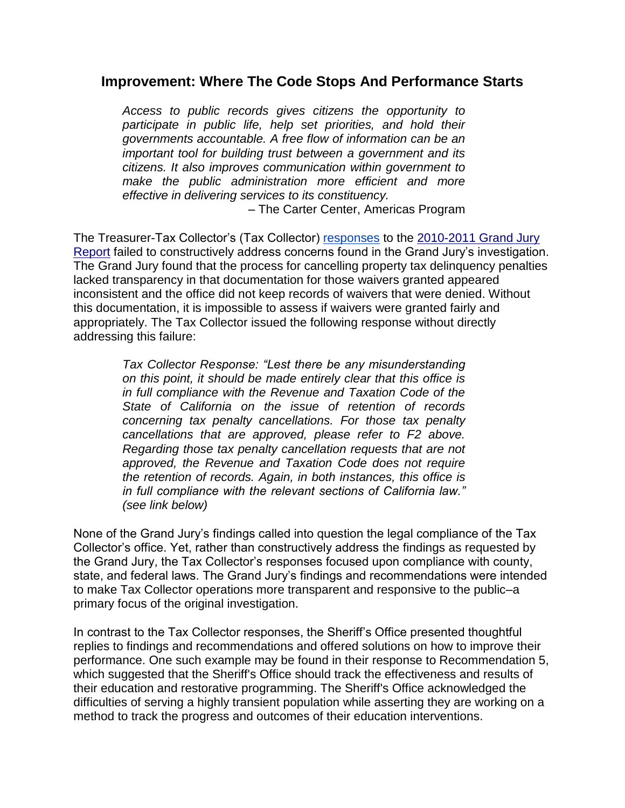### **Improvement: Where The Code Stops And Performance Starts**

*Access to public records gives citizens the opportunity to*  participate in public life, help set priorities, and hold their *governments accountable. A free flow of information can be an important tool for building trust between a government and its citizens. It also improves communication within government to make the public administration more efficient and more effective in delivering services to its constituency.*

– The Carter Center, Americas Program

The Treasurer-Tax Collector's (Tax Collector) [responses](http://www.co.santa-cruz.ca.us/LinkClick.aspx?fileticket=nHDrhLl3fI4%3d&tabid=895) to the [2010-2011 Grand Jury](http://www.co.santa-cruz.ca.us/grandjury/GJ2011_final/Delinquient_Property_Tax_Penalty_Cancellations.pdf)  [Report](http://www.co.santa-cruz.ca.us/grandjury/GJ2011_final/Delinquient_Property_Tax_Penalty_Cancellations.pdf) failed to constructively address concerns found in the Grand Jury's investigation. The Grand Jury found that the process for cancelling property tax delinquency penalties lacked transparency in that documentation for those waivers granted appeared inconsistent and the office did not keep records of waivers that were denied. Without this documentation, it is impossible to assess if waivers were granted fairly and appropriately. The Tax Collector issued the following response without directly addressing this failure:

> *Tax Collector Response: "Lest there be any misunderstanding on this point, it should be made entirely clear that this office is in full compliance with the Revenue and Taxation Code of the State of California on the issue of retention of records concerning tax penalty cancellations. For those tax penalty cancellations that are approved, please refer to F2 above. Regarding those tax penalty cancellation requests that are not approved, the Revenue and Taxation Code does not require the retention of records. Again, in both instances, this office is in full compliance with the relevant sections of California law." (see link below)*

None of the Grand Jury's findings called into question the legal compliance of the Tax Collector's office. Yet, rather than constructively address the findings as requested by the Grand Jury, the Tax Collector's responses focused upon compliance with county, state, and federal laws. The Grand Jury's findings and recommendations were intended to make Tax Collector operations more transparent and responsive to the public–a primary focus of the original investigation.

In contrast to the Tax Collector responses, the Sheriff's Office presented thoughtful replies to findings and recommendations and offered solutions on how to improve their performance. One such example may be found in their response to Recommendation 5, which suggested that the Sheriff's Office should track the effectiveness and results of their education and restorative programming. The Sheriff's Office acknowledged the difficulties of serving a highly transient population while asserting they are working on a method to track the progress and outcomes of their education interventions.